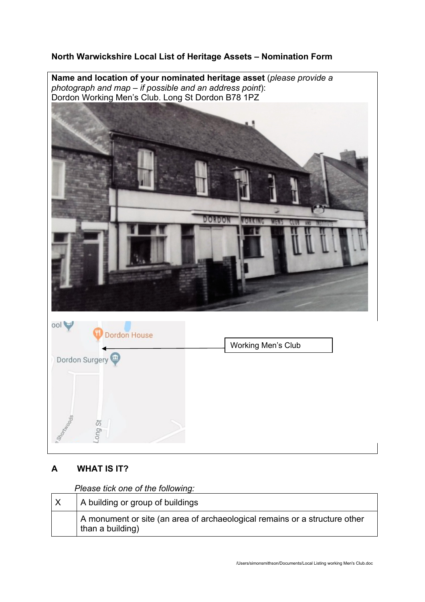# **North Warwickshire Local List of Heritage Assets – Nomination Form**

**Name and location of your nominated heritage asset** (*please provide a photograph and map – if possible and an address point*): Dordon Working Men's Club. Long St Dordon B78 1PZ





# **A WHAT IS IT?**

*Please tick one of the following:*

| A building or group of buildings                                                               |
|------------------------------------------------------------------------------------------------|
| A monument or site (an area of archaeological remains or a structure other<br>than a building) |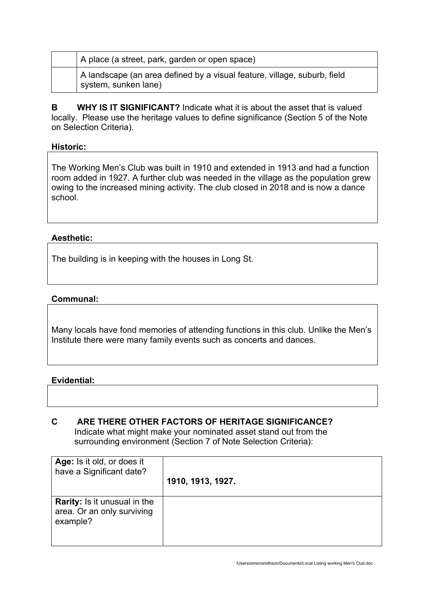| A place (a street, park, garden or open space)                                                   |
|--------------------------------------------------------------------------------------------------|
| A landscape (an area defined by a visual feature, village, suburb, field<br>system, sunken lane) |

**B WHY IS IT SIGNIFICANT?** Indicate what it is about the asset that is valued locally. Please use the heritage values to define significance (Section 5 of the Note on Selection Criteria).

## **Historic:**

The Working Men's Club was built in 1910 and extended in 1913 and had a function room added in 1927. A further club was needed in the village as the population grew owing to the increased mining activity. The club closed in 2018 and is now a dance school.

# **Aesthetic:**

The building is in keeping with the houses in Long St.

## **Communal:**

Many locals have fond memories of attending functions in this club. Unlike the Men's Institute there were many family events such as concerts and dances.

#### **Evidential:**

## **C ARE THERE OTHER FACTORS OF HERITAGE SIGNIFICANCE?** Indicate what might make your nominated asset stand out from the surrounding environment (Section 7 of Note Selection Criteria):

| Age: Is it old, or does it<br>have a Significant date?                        | 1910, 1913, 1927. |
|-------------------------------------------------------------------------------|-------------------|
| <b>Rarity:</b> Is it unusual in the<br>area. Or an only surviving<br>example? |                   |